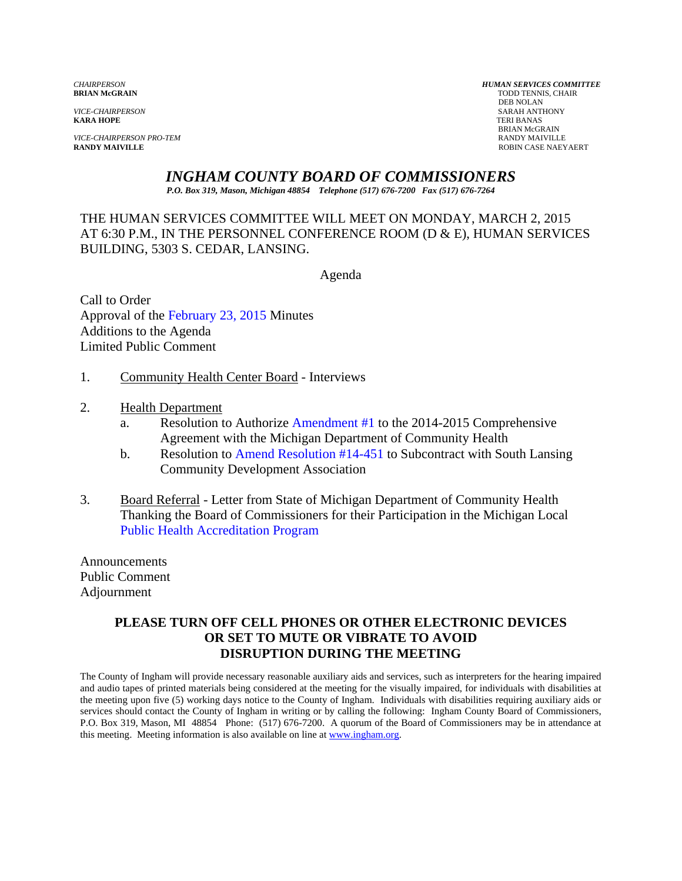**KARA HOPE** TERI BANAS

*VICE-CHAIRPERSON PRO-TEM* RANDY MAIVILLE

*CHAIRPERSON HUMAN SERVICES COMMITTEE* TODD TENNIS, CHAIR<br>DEB NOLAN DEB NOLAN *VICE-CHAIRPERSON* SARAH ANTHONY BRIAN McGRAIN ROBIN CASE NAEYAERT

# *INGHAM COUNTY BOARD OF COMMISSIONERS*

*P.O. Box 319, Mason, Michigan 48854 Telephone (517) 676-7200 Fax (517) 676-7264*

# THE HUMAN SERVICES COMMITTEE WILL MEET ON MONDAY, MARCH 2, 2015 AT 6:30 P.M., IN THE PERSONNEL CONFERENCE ROOM (D & E), HUMAN SERVICES BUILDING, 5303 S. CEDAR, LANSING.

Agenda

Call to Order Approval o[f the February 23, 2015 Minutes](#page-1-0)  Additions to the Agenda Limited Public Comment

- 1. Community Health Center Board Interviews
- 2. Health Department
	- a. Resolution to Auth[orize Amendment #1 to the 2014-2015 C](#page-9-0)omprehensive Agreement with the Michigan Department of Community Health
	- b. Resolution [to Amend Resolution #14-451](#page-11-0) to Subcontract with South Lansing Community Development Association
- 3. Board Referral Letter from State of Michigan Department of Community Health Thanking the Board of Commissioners for their Participation in the Michigan Local [Public Health Accreditation Program](#page-13-0)

Announcements Public Comment Adjournment

#### **PLEASE TURN OFF CELL PHONES OR OTHER ELECTRONIC DEVICES OR SET TO MUTE OR VIBRATE TO AVOID DISRUPTION DURING THE MEETING**

The County of Ingham will provide necessary reasonable auxiliary aids and services, such as interpreters for the hearing impaired and audio tapes of printed materials being considered at the meeting for the visually impaired, for individuals with disabilities at the meeting upon five (5) working days notice to the County of Ingham. Individuals with disabilities requiring auxiliary aids or services should contact the County of Ingham in writing or by calling the following: Ingham County Board of Commissioners, P.O. Box 319, Mason, MI 48854 Phone: (517) 676-7200. A quorum of the Board of Commissioners may be in attendance at this meeting. Meeting information is also available on line at www.ingham.org.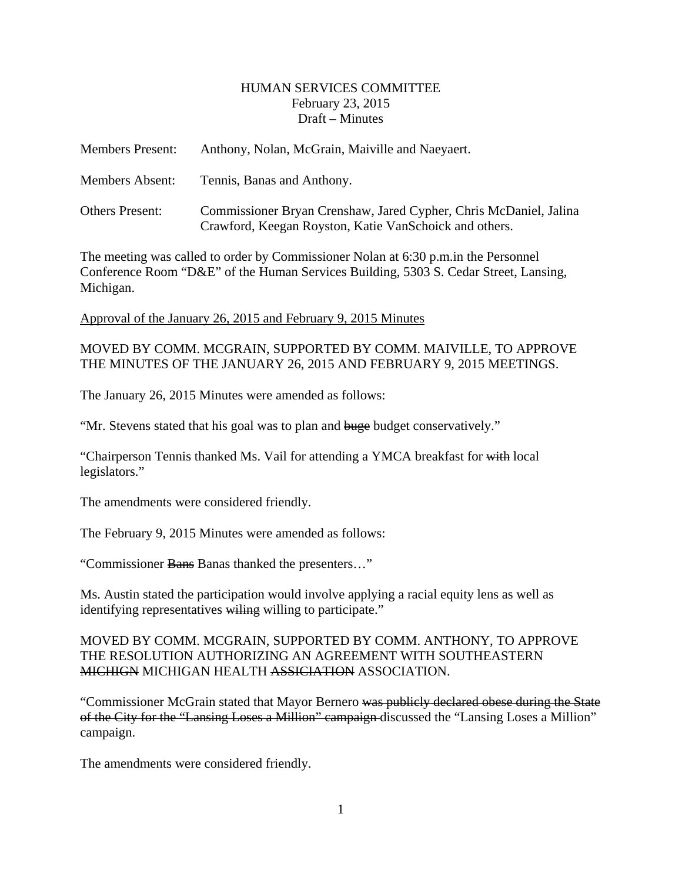#### HUMAN SERVICES COMMITTEE February 23, 2015 Draft – Minutes

<span id="page-1-0"></span>

| <b>Members Present:</b> | Anthony, Nolan, McGrain, Maiville and Naeyaert.                                                                              |
|-------------------------|------------------------------------------------------------------------------------------------------------------------------|
| <b>Members Absent:</b>  | Tennis, Banas and Anthony.                                                                                                   |
| Others Present:         | Commissioner Bryan Crenshaw, Jared Cypher, Chris McDaniel, Jalina<br>Crawford, Keegan Royston, Katie Van Schoick and others. |

The meeting was called to order by Commissioner Nolan at 6:30 p.m.in the Personnel Conference Room "D&E" of the Human Services Building, 5303 S. Cedar Street, Lansing, Michigan.

Approval of the January 26, 2015 and February 9, 2015 Minutes

MOVED BY COMM. MCGRAIN, SUPPORTED BY COMM. MAIVILLE, TO APPROVE THE MINUTES OF THE JANUARY 26, 2015 AND FEBRUARY 9, 2015 MEETINGS.

The January 26, 2015 Minutes were amended as follows:

"Mr. Stevens stated that his goal was to plan and buge budget conservatively."

"Chairperson Tennis thanked Ms. Vail for attending a YMCA breakfast for with local legislators."

The amendments were considered friendly.

The February 9, 2015 Minutes were amended as follows:

"Commissioner Bans Banas thanked the presenters…"

Ms. Austin stated the participation would involve applying a racial equity lens as well as identifying representatives willing willing to participate."

MOVED BY COMM. MCGRAIN, SUPPORTED BY COMM. ANTHONY, TO APPROVE THE RESOLUTION AUTHORIZING AN AGREEMENT WITH SOUTHEASTERN MICHIGN MICHIGAN HEALTH ASSICIATION ASSOCIATION.

"Commissioner McGrain stated that Mayor Bernero was publicly declared obese during the State of the City for the "Lansing Loses a Million" campaign discussed the "Lansing Loses a Million" campaign.

The amendments were considered friendly.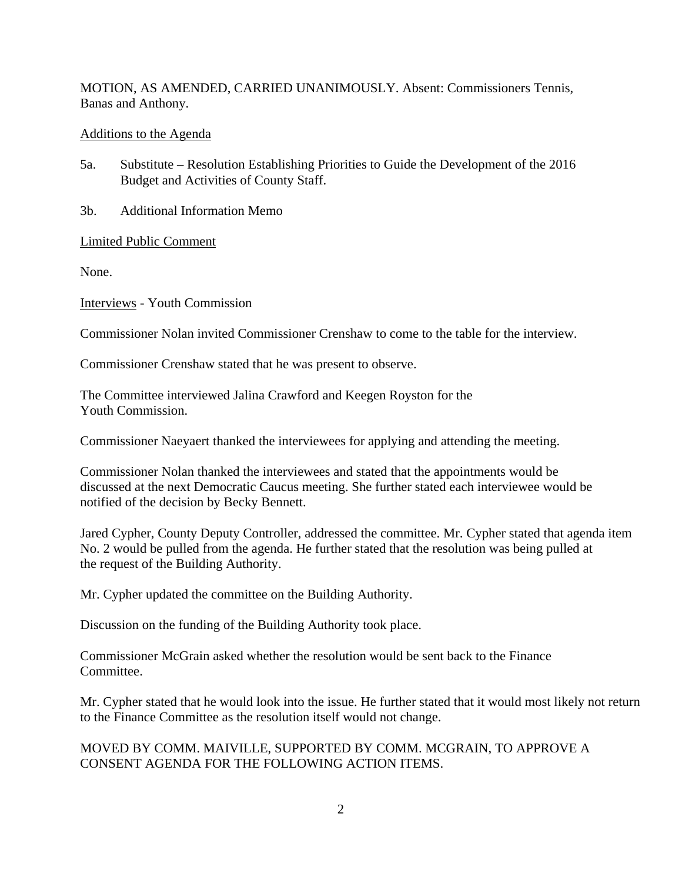MOTION, AS AMENDED, CARRIED UNANIMOUSLY. Absent: Commissioners Tennis, Banas and Anthony.

#### Additions to the Agenda

- 5a. Substitute Resolution Establishing Priorities to Guide the Development of the 2016 Budget and Activities of County Staff.
- 3b. Additional Information Memo

Limited Public Comment

None.

Interviews - Youth Commission

Commissioner Nolan invited Commissioner Crenshaw to come to the table for the interview.

Commissioner Crenshaw stated that he was present to observe.

The Committee interviewed Jalina Crawford and Keegen Royston for the Youth Commission.

Commissioner Naeyaert thanked the interviewees for applying and attending the meeting.

Commissioner Nolan thanked the interviewees and stated that the appointments would be discussed at the next Democratic Caucus meeting. She further stated each interviewee would be notified of the decision by Becky Bennett.

Jared Cypher, County Deputy Controller, addressed the committee. Mr. Cypher stated that agenda item No. 2 would be pulled from the agenda. He further stated that the resolution was being pulled at the request of the Building Authority.

Mr. Cypher updated the committee on the Building Authority.

Discussion on the funding of the Building Authority took place.

Commissioner McGrain asked whether the resolution would be sent back to the Finance Committee.

Mr. Cypher stated that he would look into the issue. He further stated that it would most likely not return to the Finance Committee as the resolution itself would not change.

#### MOVED BY COMM. MAIVILLE, SUPPORTED BY COMM. MCGRAIN, TO APPROVE A CONSENT AGENDA FOR THE FOLLOWING ACTION ITEMS.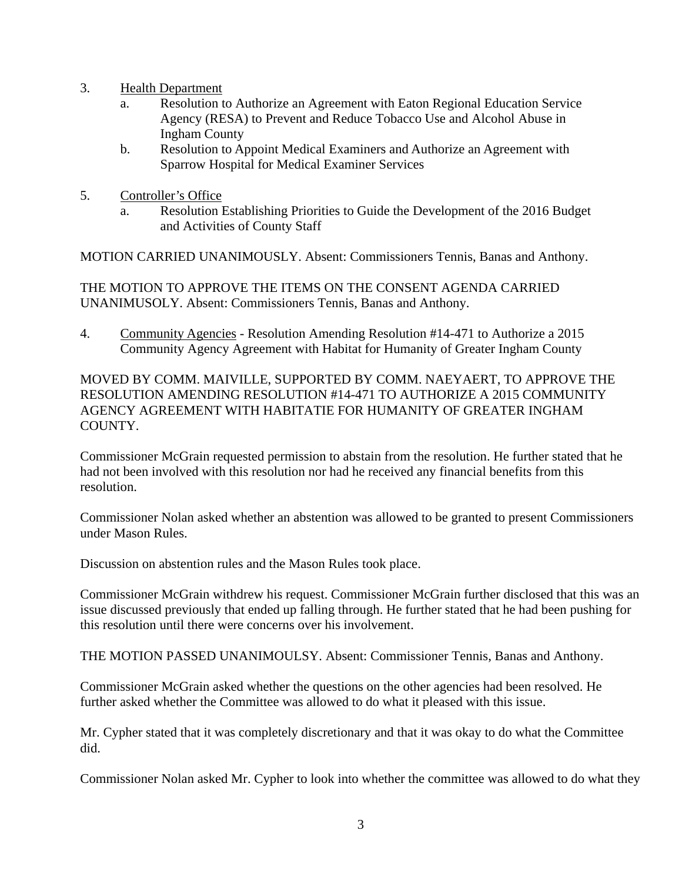- 3. Health Department
	- a. Resolution to Authorize an Agreement with Eaton Regional Education Service Agency (RESA) to Prevent and Reduce Tobacco Use and Alcohol Abuse in Ingham County
	- b. Resolution to Appoint Medical Examiners and Authorize an Agreement with Sparrow Hospital for Medical Examiner Services
- 5. Controller's Office
	- a. Resolution Establishing Priorities to Guide the Development of the 2016 Budget and Activities of County Staff

MOTION CARRIED UNANIMOUSLY. Absent: Commissioners Tennis, Banas and Anthony.

THE MOTION TO APPROVE THE ITEMS ON THE CONSENT AGENDA CARRIED UNANIMUSOLY. Absent: Commissioners Tennis, Banas and Anthony.

4. Community Agencies - Resolution Amending Resolution #14-471 to Authorize a 2015 Community Agency Agreement with Habitat for Humanity of Greater Ingham County

MOVED BY COMM. MAIVILLE, SUPPORTED BY COMM. NAEYAERT, TO APPROVE THE RESOLUTION AMENDING RESOLUTION #14-471 TO AUTHORIZE A 2015 COMMUNITY AGENCY AGREEMENT WITH HABITATIE FOR HUMANITY OF GREATER INGHAM COUNTY.

Commissioner McGrain requested permission to abstain from the resolution. He further stated that he had not been involved with this resolution nor had he received any financial benefits from this resolution.

Commissioner Nolan asked whether an abstention was allowed to be granted to present Commissioners under Mason Rules.

Discussion on abstention rules and the Mason Rules took place.

Commissioner McGrain withdrew his request. Commissioner McGrain further disclosed that this was an issue discussed previously that ended up falling through. He further stated that he had been pushing for this resolution until there were concerns over his involvement.

THE MOTION PASSED UNANIMOULSY. Absent: Commissioner Tennis, Banas and Anthony.

Commissioner McGrain asked whether the questions on the other agencies had been resolved. He further asked whether the Committee was allowed to do what it pleased with this issue.

Mr. Cypher stated that it was completely discretionary and that it was okay to do what the Committee did.

Commissioner Nolan asked Mr. Cypher to look into whether the committee was allowed to do what they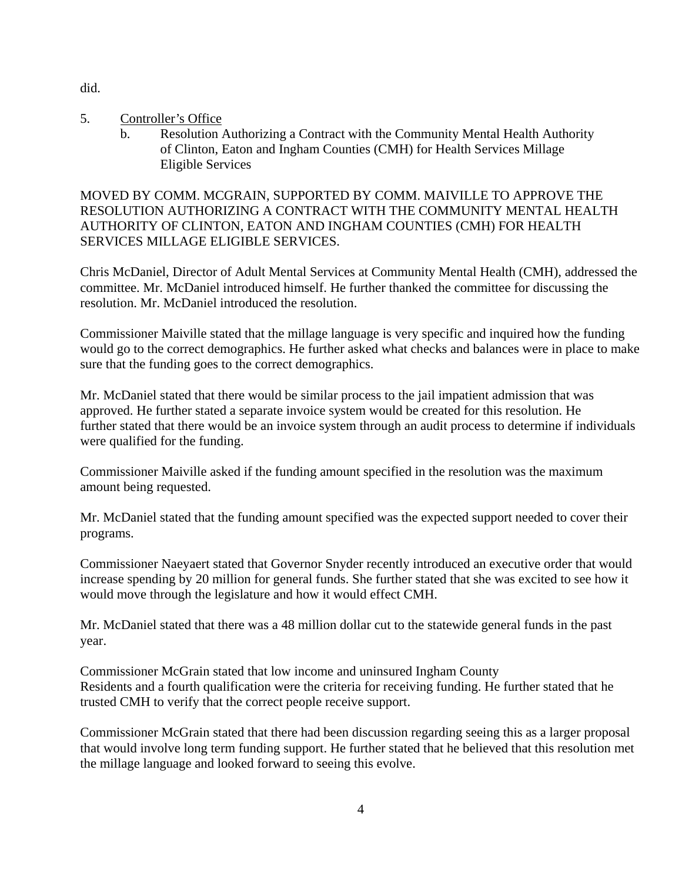did.

- 5. Controller's Office
	- b. Resolution Authorizing a Contract with the Community Mental Health Authority of Clinton, Eaton and Ingham Counties (CMH) for Health Services Millage Eligible Services

MOVED BY COMM. MCGRAIN, SUPPORTED BY COMM. MAIVILLE TO APPROVE THE RESOLUTION AUTHORIZING A CONTRACT WITH THE COMMUNITY MENTAL HEALTH AUTHORITY OF CLINTON, EATON AND INGHAM COUNTIES (CMH) FOR HEALTH SERVICES MILLAGE ELIGIBLE SERVICES.

Chris McDaniel, Director of Adult Mental Services at Community Mental Health (CMH), addressed the committee. Mr. McDaniel introduced himself. He further thanked the committee for discussing the resolution. Mr. McDaniel introduced the resolution.

Commissioner Maiville stated that the millage language is very specific and inquired how the funding would go to the correct demographics. He further asked what checks and balances were in place to make sure that the funding goes to the correct demographics.

Mr. McDaniel stated that there would be similar process to the jail impatient admission that was approved. He further stated a separate invoice system would be created for this resolution. He further stated that there would be an invoice system through an audit process to determine if individuals were qualified for the funding.

Commissioner Maiville asked if the funding amount specified in the resolution was the maximum amount being requested.

Mr. McDaniel stated that the funding amount specified was the expected support needed to cover their programs.

Commissioner Naeyaert stated that Governor Snyder recently introduced an executive order that would increase spending by 20 million for general funds. She further stated that she was excited to see how it would move through the legislature and how it would effect CMH.

Mr. McDaniel stated that there was a 48 million dollar cut to the statewide general funds in the past year.

Commissioner McGrain stated that low income and uninsured Ingham County Residents and a fourth qualification were the criteria for receiving funding. He further stated that he trusted CMH to verify that the correct people receive support.

Commissioner McGrain stated that there had been discussion regarding seeing this as a larger proposal that would involve long term funding support. He further stated that he believed that this resolution met the millage language and looked forward to seeing this evolve.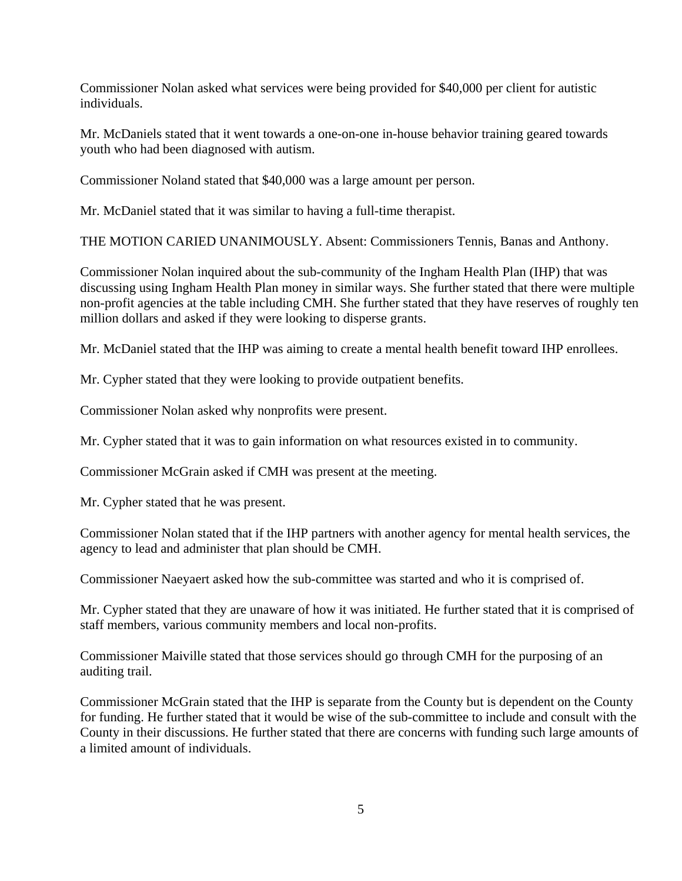Commissioner Nolan asked what services were being provided for \$40,000 per client for autistic individuals.

Mr. McDaniels stated that it went towards a one-on-one in-house behavior training geared towards youth who had been diagnosed with autism.

Commissioner Noland stated that \$40,000 was a large amount per person.

Mr. McDaniel stated that it was similar to having a full-time therapist.

THE MOTION CARIED UNANIMOUSLY. Absent: Commissioners Tennis, Banas and Anthony.

Commissioner Nolan inquired about the sub-community of the Ingham Health Plan (IHP) that was discussing using Ingham Health Plan money in similar ways. She further stated that there were multiple non-profit agencies at the table including CMH. She further stated that they have reserves of roughly ten million dollars and asked if they were looking to disperse grants.

Mr. McDaniel stated that the IHP was aiming to create a mental health benefit toward IHP enrollees.

Mr. Cypher stated that they were looking to provide outpatient benefits.

Commissioner Nolan asked why nonprofits were present.

Mr. Cypher stated that it was to gain information on what resources existed in to community.

Commissioner McGrain asked if CMH was present at the meeting.

Mr. Cypher stated that he was present.

Commissioner Nolan stated that if the IHP partners with another agency for mental health services, the agency to lead and administer that plan should be CMH.

Commissioner Naeyaert asked how the sub-committee was started and who it is comprised of.

Mr. Cypher stated that they are unaware of how it was initiated. He further stated that it is comprised of staff members, various community members and local non-profits.

Commissioner Maiville stated that those services should go through CMH for the purposing of an auditing trail.

Commissioner McGrain stated that the IHP is separate from the County but is dependent on the County for funding. He further stated that it would be wise of the sub-committee to include and consult with the County in their discussions. He further stated that there are concerns with funding such large amounts of a limited amount of individuals.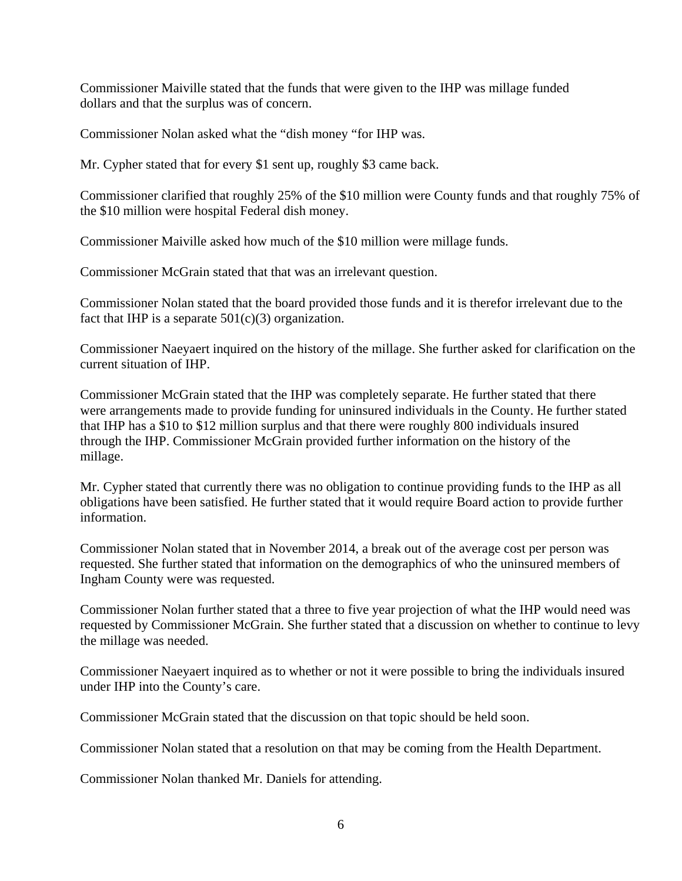Commissioner Maiville stated that the funds that were given to the IHP was millage funded dollars and that the surplus was of concern.

Commissioner Nolan asked what the "dish money "for IHP was.

Mr. Cypher stated that for every \$1 sent up, roughly \$3 came back.

Commissioner clarified that roughly 25% of the \$10 million were County funds and that roughly 75% of the \$10 million were hospital Federal dish money.

Commissioner Maiville asked how much of the \$10 million were millage funds.

Commissioner McGrain stated that that was an irrelevant question.

Commissioner Nolan stated that the board provided those funds and it is therefor irrelevant due to the fact that IHP is a separate  $501(c)(3)$  organization.

Commissioner Naeyaert inquired on the history of the millage. She further asked for clarification on the current situation of IHP.

Commissioner McGrain stated that the IHP was completely separate. He further stated that there were arrangements made to provide funding for uninsured individuals in the County. He further stated that IHP has a \$10 to \$12 million surplus and that there were roughly 800 individuals insured through the IHP. Commissioner McGrain provided further information on the history of the millage.

Mr. Cypher stated that currently there was no obligation to continue providing funds to the IHP as all obligations have been satisfied. He further stated that it would require Board action to provide further information.

Commissioner Nolan stated that in November 2014, a break out of the average cost per person was requested. She further stated that information on the demographics of who the uninsured members of Ingham County were was requested.

Commissioner Nolan further stated that a three to five year projection of what the IHP would need was requested by Commissioner McGrain. She further stated that a discussion on whether to continue to levy the millage was needed.

Commissioner Naeyaert inquired as to whether or not it were possible to bring the individuals insured under IHP into the County's care.

Commissioner McGrain stated that the discussion on that topic should be held soon.

Commissioner Nolan stated that a resolution on that may be coming from the Health Department.

Commissioner Nolan thanked Mr. Daniels for attending.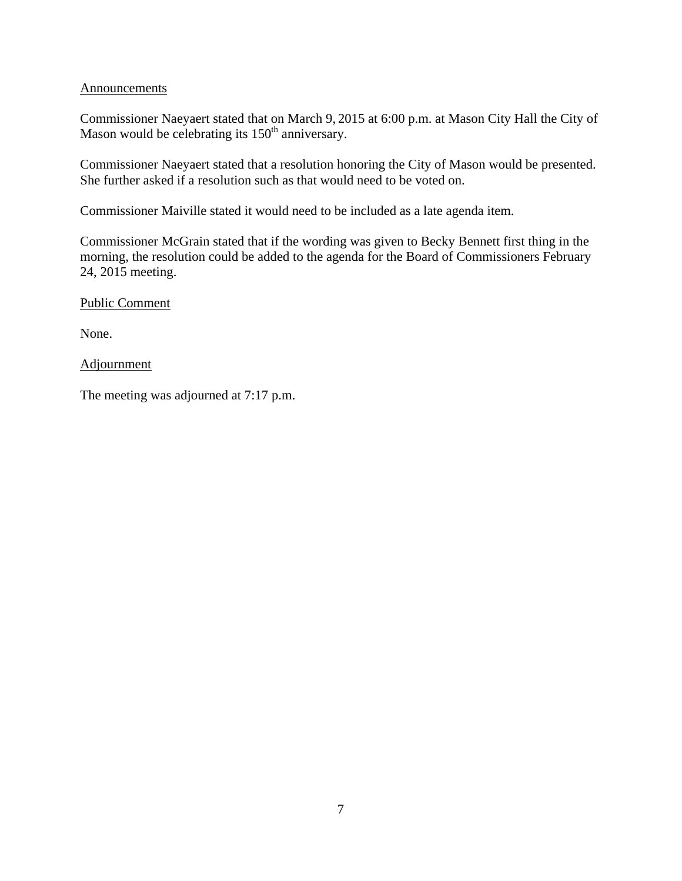#### **Announcements**

Commissioner Naeyaert stated that on March 9, 2015 at 6:00 p.m. at Mason City Hall the City of Mason would be celebrating its  $150<sup>th</sup>$  anniversary.

Commissioner Naeyaert stated that a resolution honoring the City of Mason would be presented. She further asked if a resolution such as that would need to be voted on.

Commissioner Maiville stated it would need to be included as a late agenda item.

Commissioner McGrain stated that if the wording was given to Becky Bennett first thing in the morning, the resolution could be added to the agenda for the Board of Commissioners February 24, 2015 meeting.

Public Comment

None.

**Adjournment** 

The meeting was adjourned at 7:17 p.m.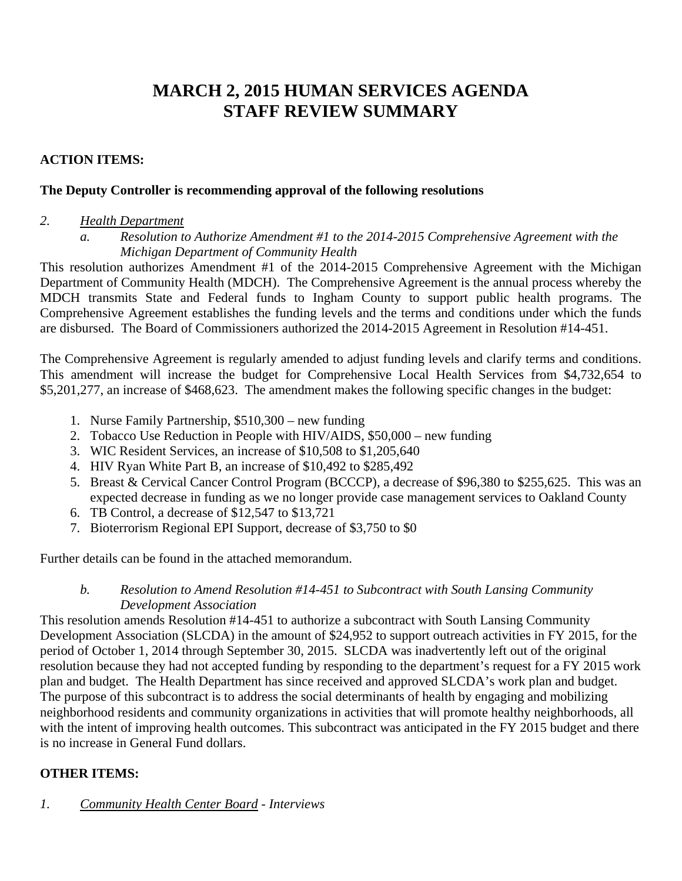# **MARCH 2, 2015 HUMAN SERVICES AGENDA STAFF REVIEW SUMMARY**

# **ACTION ITEMS:**

#### **The Deputy Controller is recommending approval of the following resolutions**

#### *2. Health Department*

*a. Resolution to Authorize Amendment #1 to the 2014-2015 Comprehensive Agreement with the Michigan Department of Community Health* 

This resolution authorizes Amendment #1 of the 2014-2015 Comprehensive Agreement with the Michigan Department of Community Health (MDCH). The Comprehensive Agreement is the annual process whereby the MDCH transmits State and Federal funds to Ingham County to support public health programs. The Comprehensive Agreement establishes the funding levels and the terms and conditions under which the funds are disbursed. The Board of Commissioners authorized the 2014-2015 Agreement in Resolution #14-451.

The Comprehensive Agreement is regularly amended to adjust funding levels and clarify terms and conditions. This amendment will increase the budget for Comprehensive Local Health Services from \$4,732,654 to \$5,201,277, an increase of \$468,623. The amendment makes the following specific changes in the budget:

- 1. Nurse Family Partnership, \$510,300 new funding
- 2. Tobacco Use Reduction in People with HIV/AIDS, \$50,000 new funding
- 3. WIC Resident Services, an increase of \$10,508 to \$1,205,640
- 4. HIV Ryan White Part B, an increase of \$10,492 to \$285,492
- 5. Breast & Cervical Cancer Control Program (BCCCP), a decrease of \$96,380 to \$255,625. This was an expected decrease in funding as we no longer provide case management services to Oakland County
- 6. TB Control, a decrease of \$12,547 to \$13,721
- 7. Bioterrorism Regional EPI Support, decrease of \$3,750 to \$0

Further details can be found in the attached memorandum.

# *b. Resolution to Amend Resolution #14-451 to Subcontract with South Lansing Community Development Association*

This resolution amends Resolution #14-451 to authorize a subcontract with South Lansing Community Development Association (SLCDA) in the amount of \$24,952 to support outreach activities in FY 2015, for the period of October 1, 2014 through September 30, 2015. SLCDA was inadvertently left out of the original resolution because they had not accepted funding by responding to the department's request for a FY 2015 work plan and budget. The Health Department has since received and approved SLCDA's work plan and budget. The purpose of this subcontract is to address the social determinants of health by engaging and mobilizing neighborhood residents and community organizations in activities that will promote healthy neighborhoods, all with the intent of improving health outcomes. This subcontract was anticipated in the FY 2015 budget and there is no increase in General Fund dollars.

# **OTHER ITEMS:**

*1. Community Health Center Board - Interviews*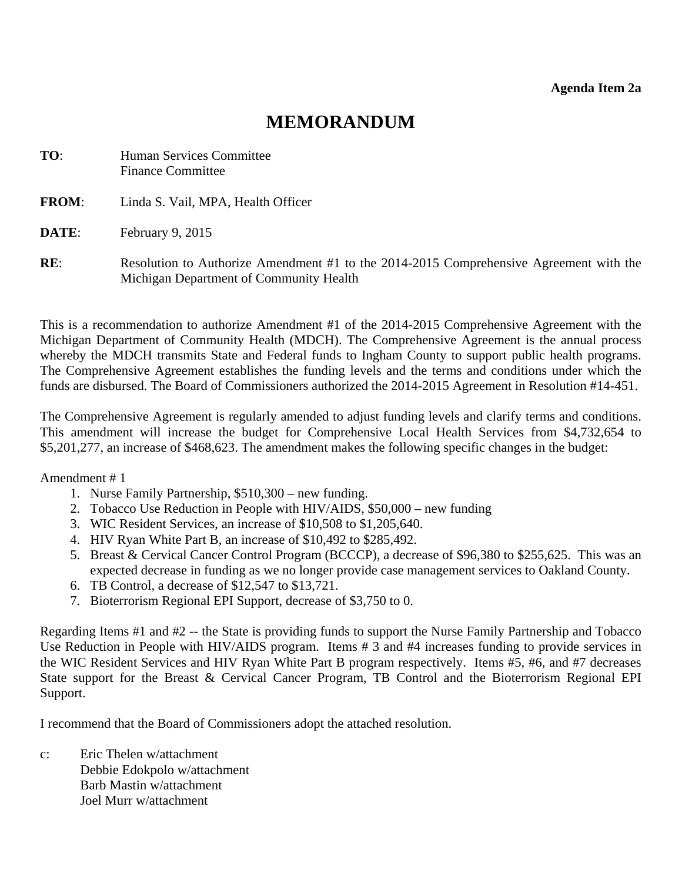# **MEMORANDUM**

<span id="page-9-0"></span>

| TO:          | Human Services Committee<br><b>Finance Committee</b>                                                                              |
|--------------|-----------------------------------------------------------------------------------------------------------------------------------|
| <b>FROM:</b> | Linda S. Vail, MPA, Health Officer                                                                                                |
| DATE:        | February 9, 2015                                                                                                                  |
| RE:          | Resolution to Authorize Amendment #1 to the 2014-2015 Comprehensive Agreement with the<br>Michigan Department of Community Health |

This is a recommendation to authorize Amendment #1 of the 2014-2015 Comprehensive Agreement with the Michigan Department of Community Health (MDCH). The Comprehensive Agreement is the annual process whereby the MDCH transmits State and Federal funds to Ingham County to support public health programs. The Comprehensive Agreement establishes the funding levels and the terms and conditions under which the funds are disbursed. The Board of Commissioners authorized the 2014-2015 Agreement in Resolution #14-451.

The Comprehensive Agreement is regularly amended to adjust funding levels and clarify terms and conditions. This amendment will increase the budget for Comprehensive Local Health Services from \$4,732,654 to \$5,201,277, an increase of \$468,623. The amendment makes the following specific changes in the budget:

Amendment # 1

- 1. Nurse Family Partnership, \$510,300 new funding.
- 2. Tobacco Use Reduction in People with HIV/AIDS, \$50,000 new funding
- 3. WIC Resident Services, an increase of \$10,508 to \$1,205,640.
- 4. HIV Ryan White Part B, an increase of \$10,492 to \$285,492.
- 5. Breast & Cervical Cancer Control Program (BCCCP), a decrease of \$96,380 to \$255,625. This was an expected decrease in funding as we no longer provide case management services to Oakland County.
- 6. TB Control, a decrease of \$12,547 to \$13,721.
- 7. Bioterrorism Regional EPI Support, decrease of \$3,750 to 0.

Regarding Items #1 and #2 -- the State is providing funds to support the Nurse Family Partnership and Tobacco Use Reduction in People with HIV/AIDS program. Items # 3 and #4 increases funding to provide services in the WIC Resident Services and HIV Ryan White Part B program respectively. Items #5, #6, and #7 decreases State support for the Breast & Cervical Cancer Program, TB Control and the Bioterrorism Regional EPI Support.

I recommend that the Board of Commissioners adopt the attached resolution.

c: Eric Thelen w/attachment Debbie Edokpolo w/attachment Barb Mastin w/attachment Joel Murr w/attachment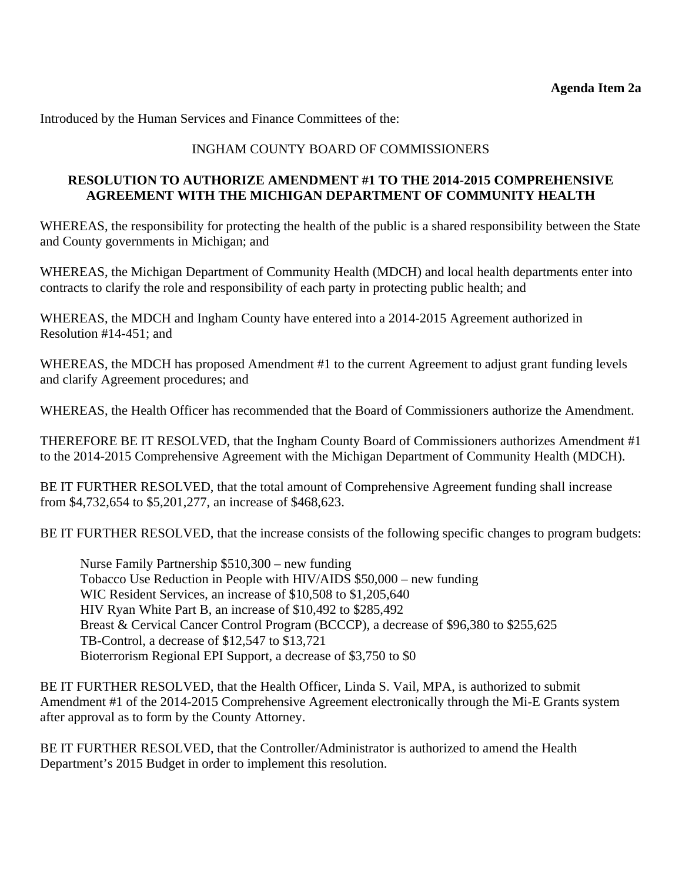Introduced by the Human Services and Finance Committees of the:

# INGHAM COUNTY BOARD OF COMMISSIONERS

### **RESOLUTION TO AUTHORIZE AMENDMENT #1 TO THE 2014-2015 COMPREHENSIVE AGREEMENT WITH THE MICHIGAN DEPARTMENT OF COMMUNITY HEALTH**

WHEREAS, the responsibility for protecting the health of the public is a shared responsibility between the State and County governments in Michigan; and

WHEREAS, the Michigan Department of Community Health (MDCH) and local health departments enter into contracts to clarify the role and responsibility of each party in protecting public health; and

WHEREAS, the MDCH and Ingham County have entered into a 2014-2015 Agreement authorized in Resolution #14-451; and

WHEREAS, the MDCH has proposed Amendment #1 to the current Agreement to adjust grant funding levels and clarify Agreement procedures; and

WHEREAS, the Health Officer has recommended that the Board of Commissioners authorize the Amendment.

THEREFORE BE IT RESOLVED, that the Ingham County Board of Commissioners authorizes Amendment #1 to the 2014-2015 Comprehensive Agreement with the Michigan Department of Community Health (MDCH).

BE IT FURTHER RESOLVED, that the total amount of Comprehensive Agreement funding shall increase from \$4,732,654 to \$5,201,277, an increase of \$468,623.

BE IT FURTHER RESOLVED, that the increase consists of the following specific changes to program budgets:

 Nurse Family Partnership \$510,300 – new funding Tobacco Use Reduction in People with HIV/AIDS \$50,000 – new funding WIC Resident Services, an increase of \$10,508 to \$1,205,640 HIV Ryan White Part B, an increase of \$10,492 to \$285,492 Breast & Cervical Cancer Control Program (BCCCP), a decrease of \$96,380 to \$255,625 TB-Control, a decrease of \$12,547 to \$13,721 Bioterrorism Regional EPI Support, a decrease of \$3,750 to \$0

BE IT FURTHER RESOLVED, that the Health Officer, Linda S. Vail, MPA, is authorized to submit Amendment #1 of the 2014-2015 Comprehensive Agreement electronically through the Mi-E Grants system after approval as to form by the County Attorney.

BE IT FURTHER RESOLVED, that the Controller/Administrator is authorized to amend the Health Department's 2015 Budget in order to implement this resolution.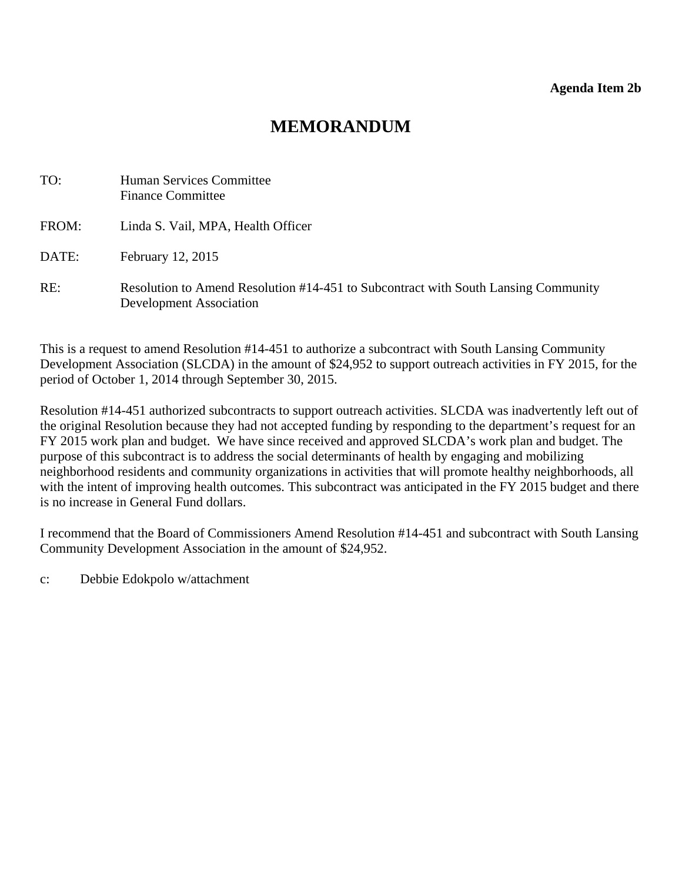# **MEMORANDUM**

<span id="page-11-0"></span>

| TO:   | <b>Human Services Committee</b><br><b>Finance Committee</b>                                                          |
|-------|----------------------------------------------------------------------------------------------------------------------|
| FROM: | Linda S. Vail, MPA, Health Officer                                                                                   |
| DATE: | February 12, 2015                                                                                                    |
| RE:   | Resolution to Amend Resolution #14-451 to Subcontract with South Lansing Community<br><b>Development Association</b> |

This is a request to amend Resolution #14-451 to authorize a subcontract with South Lansing Community Development Association (SLCDA) in the amount of \$24,952 to support outreach activities in FY 2015, for the period of October 1, 2014 through September 30, 2015.

Resolution #14-451 authorized subcontracts to support outreach activities. SLCDA was inadvertently left out of the original Resolution because they had not accepted funding by responding to the department's request for an FY 2015 work plan and budget. We have since received and approved SLCDA's work plan and budget. The purpose of this subcontract is to address the social determinants of health by engaging and mobilizing neighborhood residents and community organizations in activities that will promote healthy neighborhoods, all with the intent of improving health outcomes. This subcontract was anticipated in the FY 2015 budget and there is no increase in General Fund dollars.

I recommend that the Board of Commissioners Amend Resolution #14-451 and subcontract with South Lansing Community Development Association in the amount of \$24,952.

c: Debbie Edokpolo w/attachment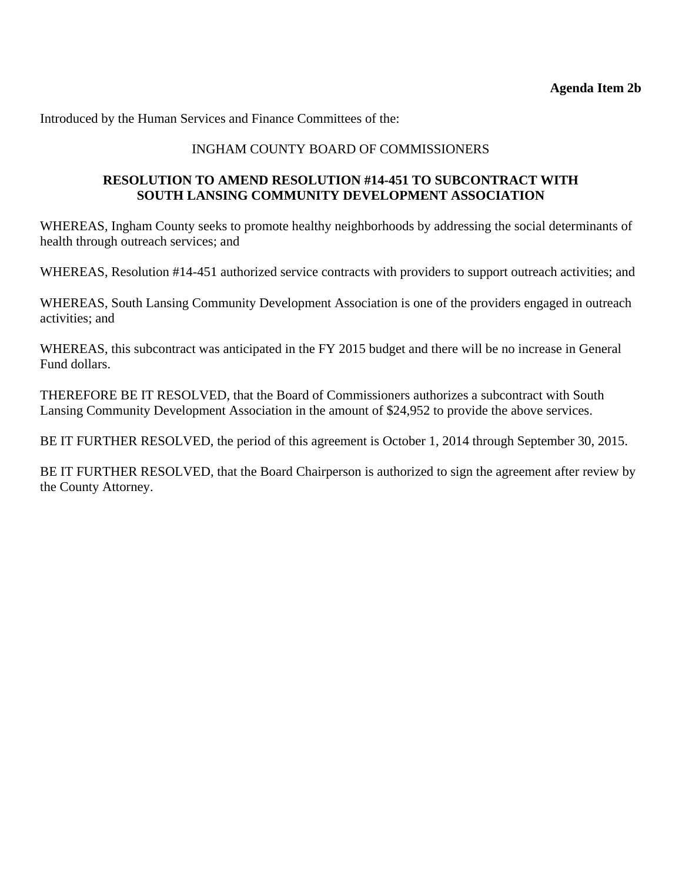Introduced by the Human Services and Finance Committees of the:

# INGHAM COUNTY BOARD OF COMMISSIONERS

# **RESOLUTION TO AMEND RESOLUTION #14-451 TO SUBCONTRACT WITH SOUTH LANSING COMMUNITY DEVELOPMENT ASSOCIATION**

WHEREAS, Ingham County seeks to promote healthy neighborhoods by addressing the social determinants of health through outreach services; and

WHEREAS, Resolution #14-451 authorized service contracts with providers to support outreach activities; and

WHEREAS, South Lansing Community Development Association is one of the providers engaged in outreach activities; and

WHEREAS, this subcontract was anticipated in the FY 2015 budget and there will be no increase in General Fund dollars.

THEREFORE BE IT RESOLVED, that the Board of Commissioners authorizes a subcontract with South Lansing Community Development Association in the amount of \$24,952 to provide the above services.

BE IT FURTHER RESOLVED, the period of this agreement is October 1, 2014 through September 30, 2015.

BE IT FURTHER RESOLVED, that the Board Chairperson is authorized to sign the agreement after review by the County Attorney.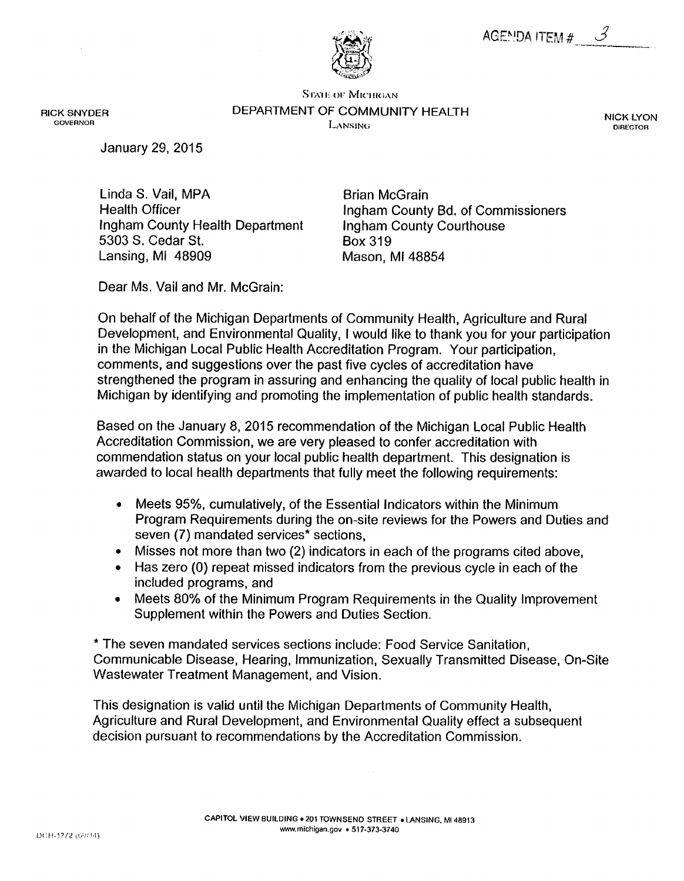

**STATE OF MICHIGAN** DEPARTMENT OF COMMUNITY HEALTH LANSING

**NICK LYON DIRECTOR** 

**January 29, 2015** 

**RICK SNYDER** 

**GOVERNOR** 

Linda S. Vail, MPA **Health Officer** Ingham County Health Department 5303 S. Cedar St. Lansing, MI 48909

**Brian McGrain** Ingham County Bd. of Commissioners **Ingham County Courthouse Box 319** Mason, MI 48854

Dear Ms. Vail and Mr. McGrain:

On behalf of the Michigan Departments of Community Health, Agriculture and Rural Development, and Environmental Quality, I would like to thank you for your participation in the Michigan Local Public Health Accreditation Program. Your participation, comments, and suggestions over the past five cycles of accreditation have strengthened the program in assuring and enhancing the quality of local public health in Michigan by identifying and promoting the implementation of public health standards.

Based on the January 8, 2015 recommendation of the Michigan Local Public Health Accreditation Commission, we are very pleased to confer accreditation with commendation status on your local public health department. This designation is awarded to local health departments that fully meet the following requirements:

- Meets 95%, cumulatively, of the Essential Indicators within the Minimum  $\bullet$ Program Requirements during the on-site reviews for the Powers and Duties and seven (7) mandated services\* sections.
- Misses not more than two (2) indicators in each of the programs cited above,  $\bullet$
- Has zero (0) repeat missed indicators from the previous cycle in each of the included programs, and
- Meets 80% of the Minimum Program Requirements in the Quality Improvement  $\bullet$ Supplement within the Powers and Duties Section.

\* The seven mandated services sections include: Food Service Sanitation, Communicable Disease, Hearing, Immunization, Sexually Transmitted Disease, On-Site Wastewater Treatment Management, and Vision.

This designation is valid until the Michigan Departments of Community Health, Agriculture and Rural Development, and Environmental Quality effect a subsequent decision pursuant to recommendations by the Accreditation Commission.